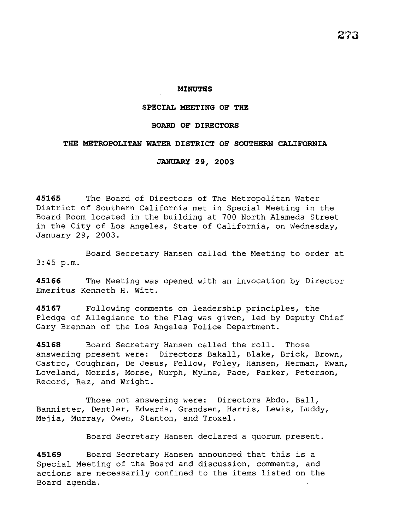# **MINUTES**

# **SPECIAL MEETING OF THE**

# **BOARD OF DIRECTORS**

# THE METROPOLITAN WATER DISTRICT OF SOUTHERN CALIFORNIA

#### **JANUARY 29, 2003**

**45165** The Board of Directors of The Metropolitan Water District of Southern California met in Special Meeting in the Board Room located in the building at 700 North Alameda Street in the City of Los Angeles, State of California, on Wednesday, January 29, 2003.

Board Secretary Hansen called the Meeting to order at 3:45 p.m.

**45166** The Meeting was opened with an invocation by Director Emeritus Kenneth H. Witt.

**45167** Following comments on leadership principles, the Pledge of Allegiance to the Flag was given, led by Deputy Chief Gary Brennan of the Los Angeles Police Department.

**45168** Board Secretary Hansen called the roll. Those answering present were: Directors Bakall, Blake, Brick, Brown, Castro, Coughran, De Jesus, Fellow, Foley, Hansen, Herman, Kwan, Loveland, Morris, Morse, Murph, Mylne, Pace, Parker, Peterson, Record, Rez, and Wright.

Those not answering were: Directors Abdo, Ball, Bannister, Dentler, Edwards, Grandsen, Harris, Lewis, Luddy, Mejia, Murray, Owen, Stanton, and Troxel.

Board Secretary Hansen declared a quorum present.

**45169** Board Secretary Hansen announced that this is a Special Meeting of the Board and discussion, comments, and actions are necessarily confined to the items listed on the Board agenda.